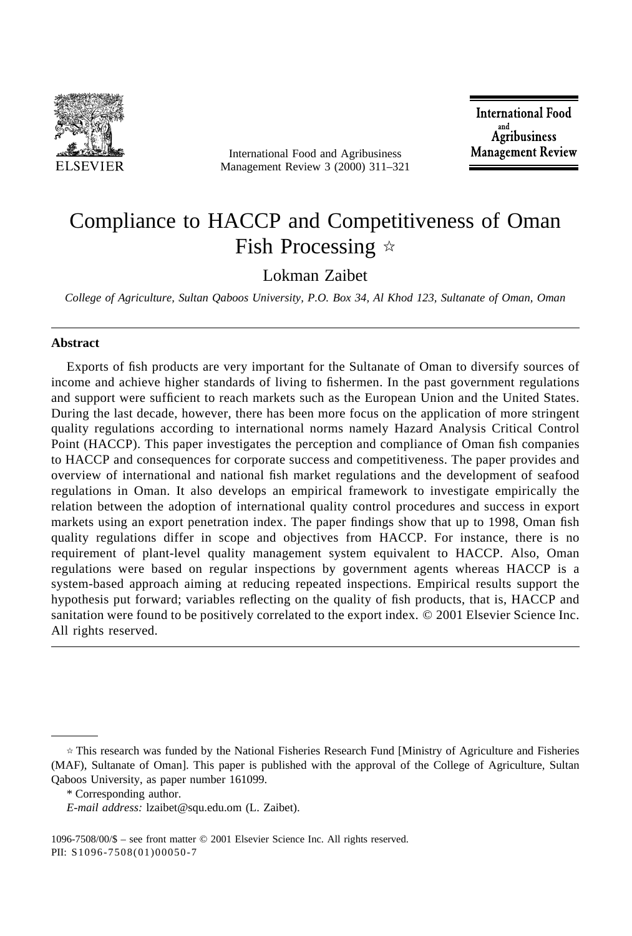

International Food and Agribusiness Management Review 3 (2000) 311–321

**International Food** Agribusiness **Management Review** 

# Compliance to HACCP and Competitiveness of Oman Fish Processing  $\approx$

Lokman Zaibet

*College of Agriculture, Sultan Qaboos University, P.O. Box 34, Al Khod 123, Sultanate of Oman, Oman*

#### **Abstract**

Exports of fish products are very important for the Sultanate of Oman to diversify sources of income and achieve higher standards of living to fishermen. In the past government regulations and support were sufficient to reach markets such as the European Union and the United States. During the last decade, however, there has been more focus on the application of more stringent quality regulations according to international norms namely Hazard Analysis Critical Control Point (HACCP). This paper investigates the perception and compliance of Oman fish companies to HACCP and consequences for corporate success and competitiveness. The paper provides and overview of international and national fish market regulations and the development of seafood regulations in Oman. It also develops an empirical framework to investigate empirically the relation between the adoption of international quality control procedures and success in export markets using an export penetration index. The paper findings show that up to 1998, Oman fish quality regulations differ in scope and objectives from HACCP. For instance, there is no requirement of plant-level quality management system equivalent to HACCP. Also, Oman regulations were based on regular inspections by government agents whereas HACCP is a system-based approach aiming at reducing repeated inspections. Empirical results support the hypothesis put forward; variables reflecting on the quality of fish products, that is, HACCP and sanitation were found to be positively correlated to the export index. © 2001 Elsevier Science Inc. All rights reserved.

This research was funded by the National Fisheries Research Fund [Ministry of Agriculture and Fisheries (MAF), Sultanate of Oman]. This paper is published with the approval of the College of Agriculture, Sultan Qaboos University, as paper number 161099.

<sup>\*</sup> Corresponding author.

*E-mail address:* lzaibet@squ.edu.om (L. Zaibet).

<sup>1096-7508/00/\$ –</sup> see front matter © 2001 Elsevier Science Inc. All rights reserved. PII: S1096-7508(01)00050-7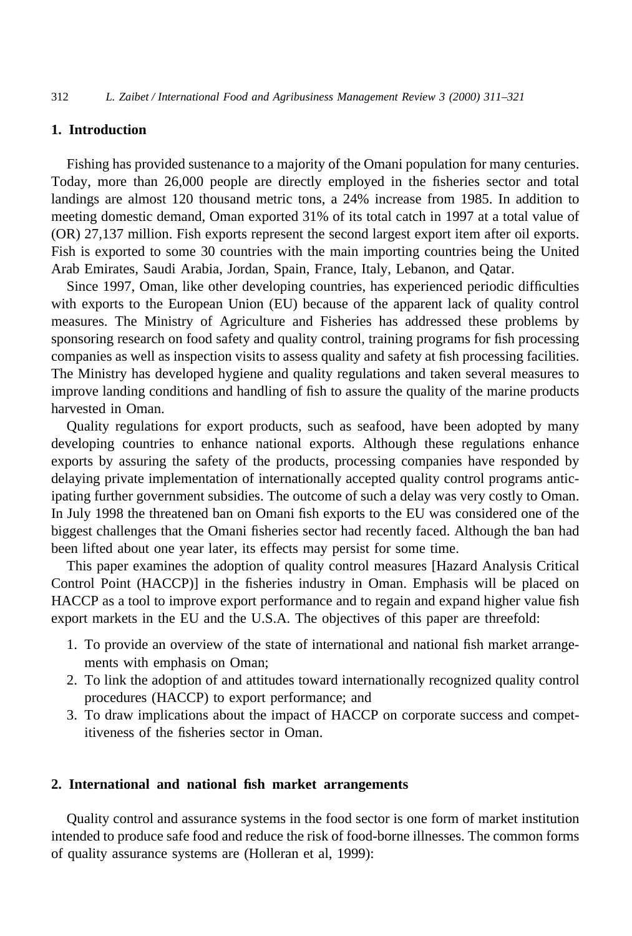#### **1. Introduction**

Fishing has provided sustenance to a majority of the Omani population for many centuries. Today, more than 26,000 people are directly employed in the fisheries sector and total landings are almost 120 thousand metric tons, a 24% increase from 1985. In addition to meeting domestic demand, Oman exported 31% of its total catch in 1997 at a total value of (OR) 27,137 million. Fish exports represent the second largest export item after oil exports. Fish is exported to some 30 countries with the main importing countries being the United Arab Emirates, Saudi Arabia, Jordan, Spain, France, Italy, Lebanon, and Qatar.

Since 1997, Oman, like other developing countries, has experienced periodic difficulties with exports to the European Union (EU) because of the apparent lack of quality control measures. The Ministry of Agriculture and Fisheries has addressed these problems by sponsoring research on food safety and quality control, training programs for fish processing companies as well as inspection visits to assess quality and safety at fish processing facilities. The Ministry has developed hygiene and quality regulations and taken several measures to improve landing conditions and handling of fish to assure the quality of the marine products harvested in Oman.

Quality regulations for export products, such as seafood, have been adopted by many developing countries to enhance national exports. Although these regulations enhance exports by assuring the safety of the products, processing companies have responded by delaying private implementation of internationally accepted quality control programs anticipating further government subsidies. The outcome of such a delay was very costly to Oman. In July 1998 the threatened ban on Omani fish exports to the EU was considered one of the biggest challenges that the Omani fisheries sector had recently faced. Although the ban had been lifted about one year later, its effects may persist for some time.

This paper examines the adoption of quality control measures [Hazard Analysis Critical Control Point (HACCP)] in the fisheries industry in Oman. Emphasis will be placed on HACCP as a tool to improve export performance and to regain and expand higher value fish export markets in the EU and the U.S.A. The objectives of this paper are threefold:

- 1. To provide an overview of the state of international and national fish market arrangements with emphasis on Oman;
- 2. To link the adoption of and attitudes toward internationally recognized quality control procedures (HACCP) to export performance; and
- 3. To draw implications about the impact of HACCP on corporate success and competitiveness of the fisheries sector in Oman.

# **2. International and national fish market arrangements**

Quality control and assurance systems in the food sector is one form of market institution intended to produce safe food and reduce the risk of food-borne illnesses. The common forms of quality assurance systems are (Holleran et al, 1999):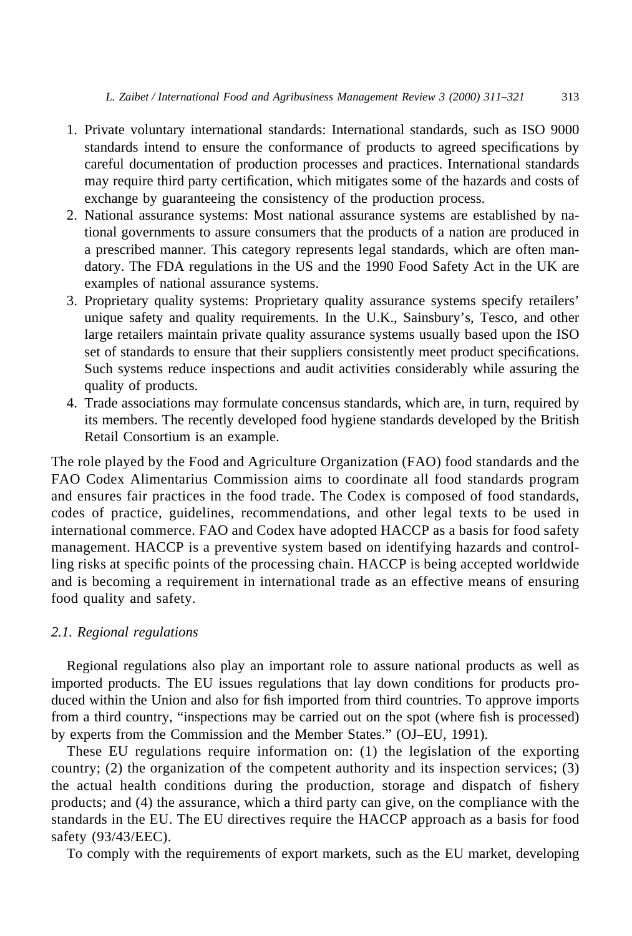- 1. Private voluntary international standards: International standards, such as ISO 9000 standards intend to ensure the conformance of products to agreed specifications by careful documentation of production processes and practices. International standards may require third party certification, which mitigates some of the hazards and costs of exchange by guaranteeing the consistency of the production process.
- 2. National assurance systems: Most national assurance systems are established by national governments to assure consumers that the products of a nation are produced in a prescribed manner. This category represents legal standards, which are often mandatory. The FDA regulations in the US and the 1990 Food Safety Act in the UK are examples of national assurance systems.
- 3. Proprietary quality systems: Proprietary quality assurance systems specify retailers' unique safety and quality requirements. In the U.K., Sainsbury's, Tesco, and other large retailers maintain private quality assurance systems usually based upon the ISO set of standards to ensure that their suppliers consistently meet product specifications. Such systems reduce inspections and audit activities considerably while assuring the quality of products.
- 4. Trade associations may formulate concensus standards, which are, in turn, required by its members. The recently developed food hygiene standards developed by the British Retail Consortium is an example.

The role played by the Food and Agriculture Organization (FAO) food standards and the FAO Codex Alimentarius Commission aims to coordinate all food standards program and ensures fair practices in the food trade. The Codex is composed of food standards, codes of practice, guidelines, recommendations, and other legal texts to be used in international commerce. FAO and Codex have adopted HACCP as a basis for food safety management. HACCP is a preventive system based on identifying hazards and controlling risks at specific points of the processing chain. HACCP is being accepted worldwide and is becoming a requirement in international trade as an effective means of ensuring food quality and safety.

#### *2.1. Regional regulations*

Regional regulations also play an important role to assure national products as well as imported products. The EU issues regulations that lay down conditions for products produced within the Union and also for fish imported from third countries. To approve imports from a third country, "inspections may be carried out on the spot (where fish is processed) by experts from the Commission and the Member States." (OJ–EU, 1991).

These EU regulations require information on: (1) the legislation of the exporting country; (2) the organization of the competent authority and its inspection services; (3) the actual health conditions during the production, storage and dispatch of fishery products; and (4) the assurance, which a third party can give, on the compliance with the standards in the EU. The EU directives require the HACCP approach as a basis for food safety (93/43/EEC).

To comply with the requirements of export markets, such as the EU market, developing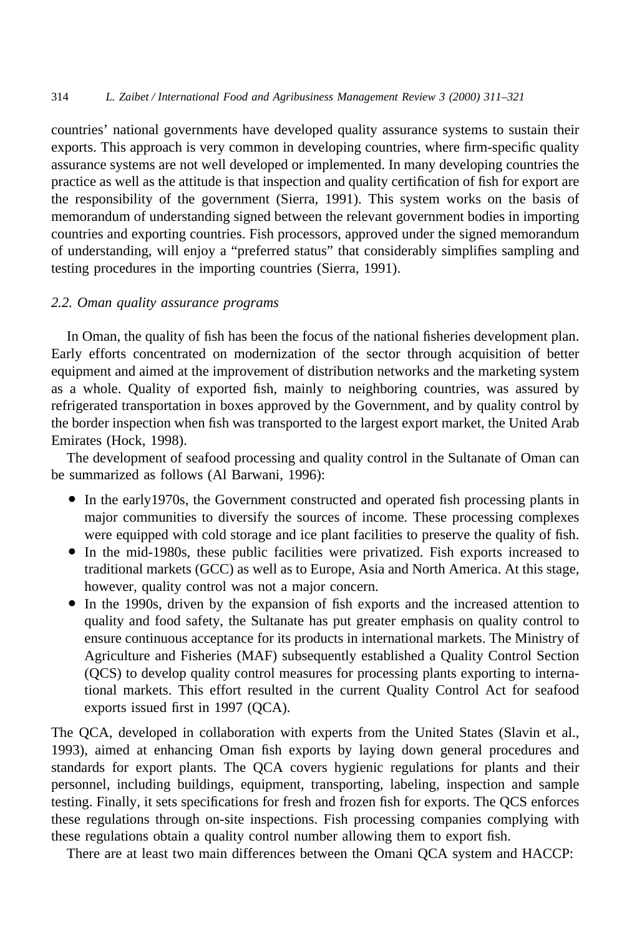countries' national governments have developed quality assurance systems to sustain their exports. This approach is very common in developing countries, where firm-specific quality assurance systems are not well developed or implemented. In many developing countries the practice as well as the attitude is that inspection and quality certification of fish for export are the responsibility of the government (Sierra, 1991). This system works on the basis of memorandum of understanding signed between the relevant government bodies in importing countries and exporting countries. Fish processors, approved under the signed memorandum of understanding, will enjoy a "preferred status" that considerably simplifies sampling and testing procedures in the importing countries (Sierra, 1991).

## *2.2. Oman quality assurance programs*

In Oman, the quality of fish has been the focus of the national fisheries development plan. Early efforts concentrated on modernization of the sector through acquisition of better equipment and aimed at the improvement of distribution networks and the marketing system as a whole. Quality of exported fish, mainly to neighboring countries, was assured by refrigerated transportation in boxes approved by the Government, and by quality control by the border inspection when fish was transported to the largest export market, the United Arab Emirates (Hock, 1998).

The development of seafood processing and quality control in the Sultanate of Oman can be summarized as follows (Al Barwani, 1996):

- In the early 1970s, the Government constructed and operated fish processing plants in major communities to diversify the sources of income. These processing complexes were equipped with cold storage and ice plant facilities to preserve the quality of fish.
- In the mid-1980s, these public facilities were privatized. Fish exports increased to traditional markets (GCC) as well as to Europe, Asia and North America. At this stage, however, quality control was not a major concern.
- In the 1990s, driven by the expansion of fish exports and the increased attention to quality and food safety, the Sultanate has put greater emphasis on quality control to ensure continuous acceptance for its products in international markets. The Ministry of Agriculture and Fisheries (MAF) subsequently established a Quality Control Section (QCS) to develop quality control measures for processing plants exporting to international markets. This effort resulted in the current Quality Control Act for seafood exports issued first in 1997 (QCA).

The QCA, developed in collaboration with experts from the United States (Slavin et al., 1993), aimed at enhancing Oman fish exports by laying down general procedures and standards for export plants. The QCA covers hygienic regulations for plants and their personnel, including buildings, equipment, transporting, labeling, inspection and sample testing. Finally, it sets specifications for fresh and frozen fish for exports. The QCS enforces these regulations through on-site inspections. Fish processing companies complying with these regulations obtain a quality control number allowing them to export fish.

There are at least two main differences between the Omani QCA system and HACCP: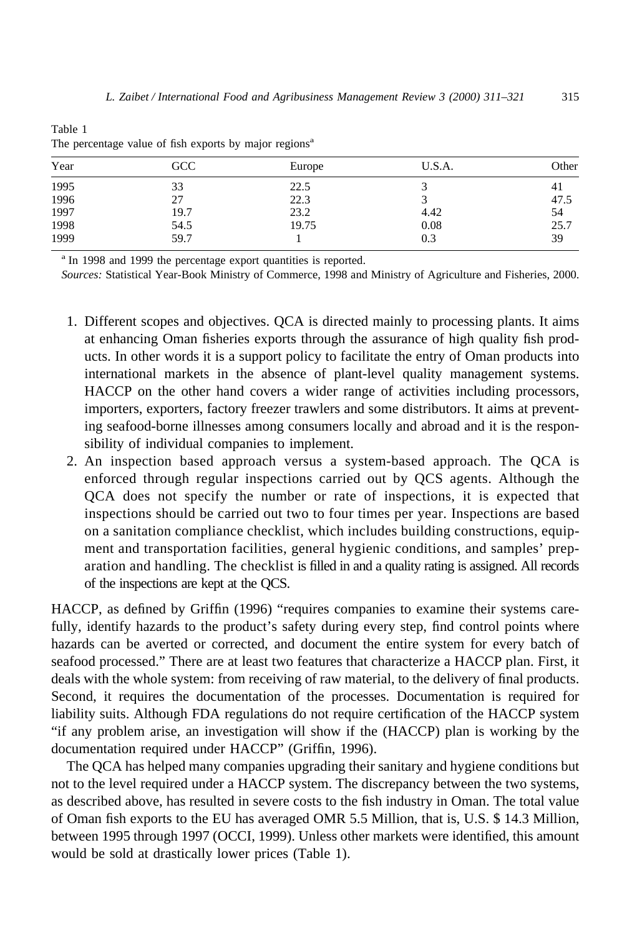| Year | <b>GCC</b> | Europe | U.S.A. | Other |
|------|------------|--------|--------|-------|
| 1995 | 33         | 22.5   |        | 41    |
| 1996 | 27         | 22.3   |        | 47.5  |
| 1997 | 19.7       | 23.2   | 4.42   | 54    |
| 1998 | 54.5       | 19.75  | 0.08   | 25.7  |
| 1999 | 59.7       |        | 0.3    | 39    |

Table 1 The percentage value of fish exports by major regions $a$ 

<sup>a</sup> In 1998 and 1999 the percentage export quantities is reported.

*Sources:* Statistical Year-Book Ministry of Commerce, 1998 and Ministry of Agriculture and Fisheries, 2000.

- 1. Different scopes and objectives. QCA is directed mainly to processing plants. It aims at enhancing Oman fisheries exports through the assurance of high quality fish products. In other words it is a support policy to facilitate the entry of Oman products into international markets in the absence of plant-level quality management systems. HACCP on the other hand covers a wider range of activities including processors, importers, exporters, factory freezer trawlers and some distributors. It aims at preventing seafood-borne illnesses among consumers locally and abroad and it is the responsibility of individual companies to implement.
- 2. An inspection based approach versus a system-based approach. The QCA is enforced through regular inspections carried out by QCS agents. Although the QCA does not specify the number or rate of inspections, it is expected that inspections should be carried out two to four times per year. Inspections are based on a sanitation compliance checklist, which includes building constructions, equipment and transportation facilities, general hygienic conditions, and samples' preparation and handling. The checklist is filled in and a quality rating is assigned. All records of the inspections are kept at the QCS.

HACCP, as defined by Griffin (1996) "requires companies to examine their systems carefully, identify hazards to the product's safety during every step, find control points where hazards can be averted or corrected, and document the entire system for every batch of seafood processed." There are at least two features that characterize a HACCP plan. First, it deals with the whole system: from receiving of raw material, to the delivery of final products. Second, it requires the documentation of the processes. Documentation is required for liability suits. Although FDA regulations do not require certification of the HACCP system "if any problem arise, an investigation will show if the (HACCP) plan is working by the documentation required under HACCP" (Griffin, 1996).

The QCA has helped many companies upgrading their sanitary and hygiene conditions but not to the level required under a HACCP system. The discrepancy between the two systems, as described above, has resulted in severe costs to the fish industry in Oman. The total value of Oman fish exports to the EU has averaged OMR 5.5 Million, that is, U.S. \$ 14.3 Million, between 1995 through 1997 (OCCI, 1999). Unless other markets were identified, this amount would be sold at drastically lower prices (Table 1).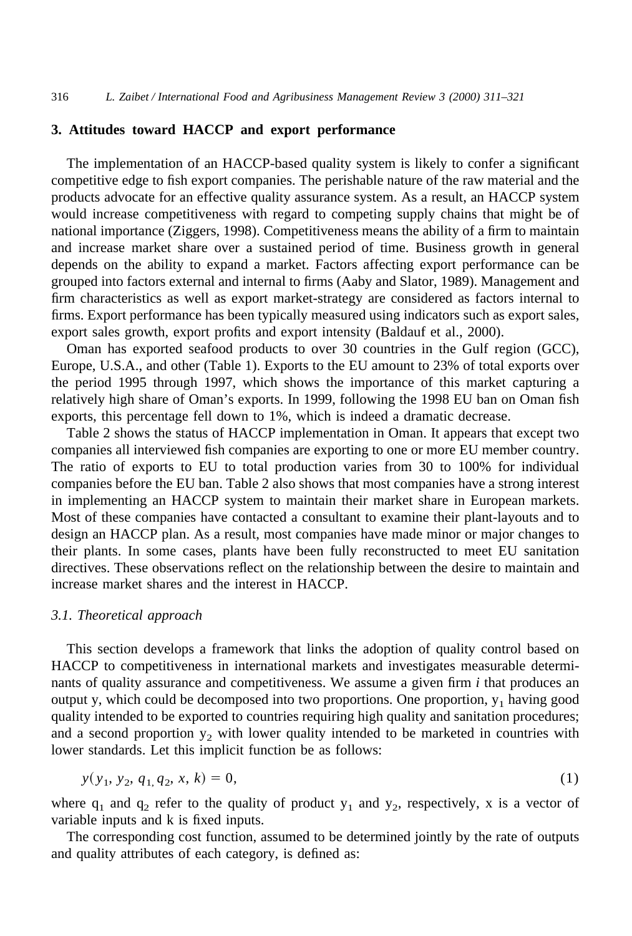#### **3. Attitudes toward HACCP and export performance**

The implementation of an HACCP-based quality system is likely to confer a significant competitive edge to fish export companies. The perishable nature of the raw material and the products advocate for an effective quality assurance system. As a result, an HACCP system would increase competitiveness with regard to competing supply chains that might be of national importance (Ziggers, 1998). Competitiveness means the ability of a firm to maintain and increase market share over a sustained period of time. Business growth in general depends on the ability to expand a market. Factors affecting export performance can be grouped into factors external and internal to firms (Aaby and Slator, 1989). Management and firm characteristics as well as export market-strategy are considered as factors internal to firms. Export performance has been typically measured using indicators such as export sales, export sales growth, export profits and export intensity (Baldauf et al., 2000).

Oman has exported seafood products to over 30 countries in the Gulf region (GCC), Europe, U.S.A., and other (Table 1). Exports to the EU amount to 23% of total exports over the period 1995 through 1997, which shows the importance of this market capturing a relatively high share of Oman's exports. In 1999, following the 1998 EU ban on Oman fish exports, this percentage fell down to 1%, which is indeed a dramatic decrease.

Table 2 shows the status of HACCP implementation in Oman. It appears that except two companies all interviewed fish companies are exporting to one or more EU member country. The ratio of exports to EU to total production varies from 30 to 100% for individual companies before the EU ban. Table 2 also shows that most companies have a strong interest in implementing an HACCP system to maintain their market share in European markets. Most of these companies have contacted a consultant to examine their plant-layouts and to design an HACCP plan. As a result, most companies have made minor or major changes to their plants. In some cases, plants have been fully reconstructed to meet EU sanitation directives. These observations reflect on the relationship between the desire to maintain and increase market shares and the interest in HACCP.

#### *3.1. Theoretical approach*

This section develops a framework that links the adoption of quality control based on HACCP to competitiveness in international markets and investigates measurable determinants of quality assurance and competitiveness. We assume a given firm *i* that produces an output y, which could be decomposed into two proportions. One proportion,  $y_1$  having good quality intended to be exported to countries requiring high quality and sanitation procedures; and a second proportion  $y_2$  with lower quality intended to be marketed in countries with lower standards. Let this implicit function be as follows:

$$
y(y_1, y_2, q_1, q_2, x, k) = 0,\t\t(1)
$$

where  $q_1$  and  $q_2$  refer to the quality of product  $y_1$  and  $y_2$ , respectively, x is a vector of variable inputs and k is fixed inputs.

The corresponding cost function, assumed to be determined jointly by the rate of outputs and quality attributes of each category, is defined as: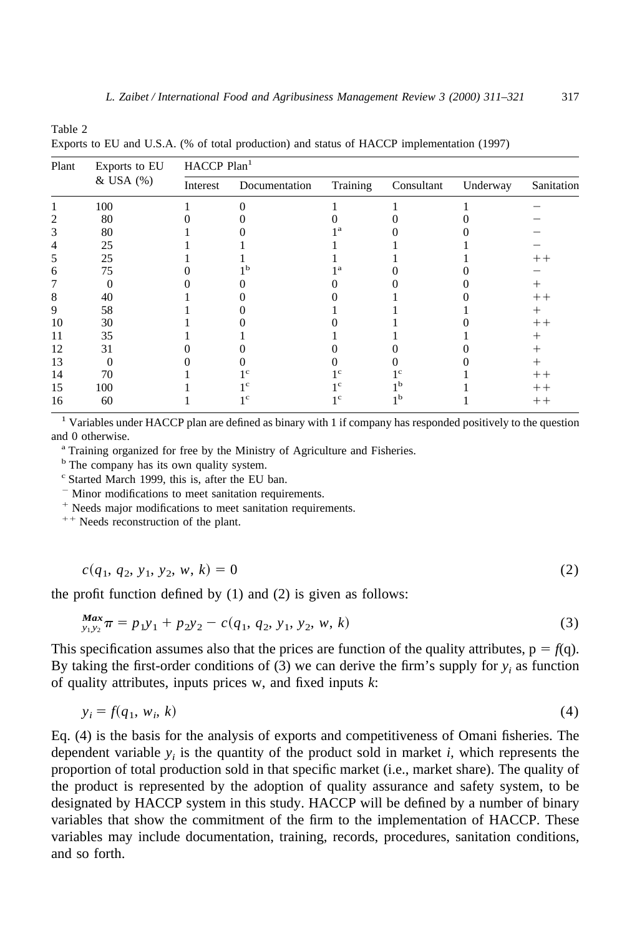| Plant | Exports to EU<br>& USA (%) | HACCP Plan <sup>1</sup> |               |          |            |          |                                 |  |
|-------|----------------------------|-------------------------|---------------|----------|------------|----------|---------------------------------|--|
|       |                            | Interest                | Documentation | Training | Consultant | Underway | Sanitation                      |  |
|       | 100                        |                         |               |          |            |          |                                 |  |
| 2     | 80                         |                         |               |          |            |          |                                 |  |
| 3     | 80                         |                         |               | a        |            |          |                                 |  |
| 4     | 25                         |                         |               |          |            |          |                                 |  |
| 5     | 25                         |                         |               |          |            |          | $++$                            |  |
| 6     | 75                         |                         |               |          |            |          |                                 |  |
|       |                            |                         |               |          |            |          |                                 |  |
| 8     | 40                         |                         |               |          |            |          | $++$                            |  |
| 9     | 58                         |                         |               |          |            |          |                                 |  |
| 10    | 30                         |                         |               |          |            |          | $++$                            |  |
| 11    | 35                         |                         |               |          |            |          |                                 |  |
| 12    | 31                         |                         |               |          |            |          |                                 |  |
| 13    | $\theta$                   |                         |               |          |            |          |                                 |  |
| 14    | 70                         |                         |               |          |            |          | $++$                            |  |
| 15    | 100                        |                         |               |          |            |          | $++$                            |  |
| 16    | 60                         |                         | 1 C           |          |            |          | $^{\mathrm{+}}$ $^{\mathrm{+}}$ |  |

Exports to EU and U.S.A. (% of total production) and status of HACCP implementation (1997)

<sup>1</sup> Variables under HACCP plan are defined as binary with 1 if company has responded positively to the question and 0 otherwise.<br><sup>a</sup> Training organized for free by the Ministry of Agriculture and Fisheries.

<sup>b</sup> The company has its own quality system.

<sup>c</sup> Started March 1999, this is, after the EU ban.

- Minor modifications to meet sanitation requirements.<br>
<sup>+</sup> Needs major modifications to meet sanitation requirements.<br>
<sup>+ +</sup> Needs reconstruction of the plant.

Table 2

$$
c(q_1, q_2, y_1, y_2, w, k) = 0
$$
\n<sup>(2)</sup>

the profit function defined by (1) and (2) is given as follows:

$$
\lim_{y_1, y_2} \pi = p_1 y_1 + p_2 y_2 - c(q_1, q_2, y_1, y_2, w, k) \tag{3}
$$

This specification assumes also that the prices are function of the quality attributes,  $p = f(q)$ . By taking the first-order conditions of  $(3)$  we can derive the firm's supply for  $y_i$  as function of quality attributes, inputs prices w, and fixed inputs *k*:

$$
y_i = f(q_1, w_i, k) \tag{4}
$$

Eq. (4) is the basis for the analysis of exports and competitiveness of Omani fisheries. The dependent variable  $y_i$  is the quantity of the product sold in market  $i$ , which represents the proportion of total production sold in that specific market (i.e., market share). The quality of the product is represented by the adoption of quality assurance and safety system, to be designated by HACCP system in this study. HACCP will be defined by a number of binary variables that show the commitment of the firm to the implementation of HACCP. These variables may include documentation, training, records, procedures, sanitation conditions, and so forth.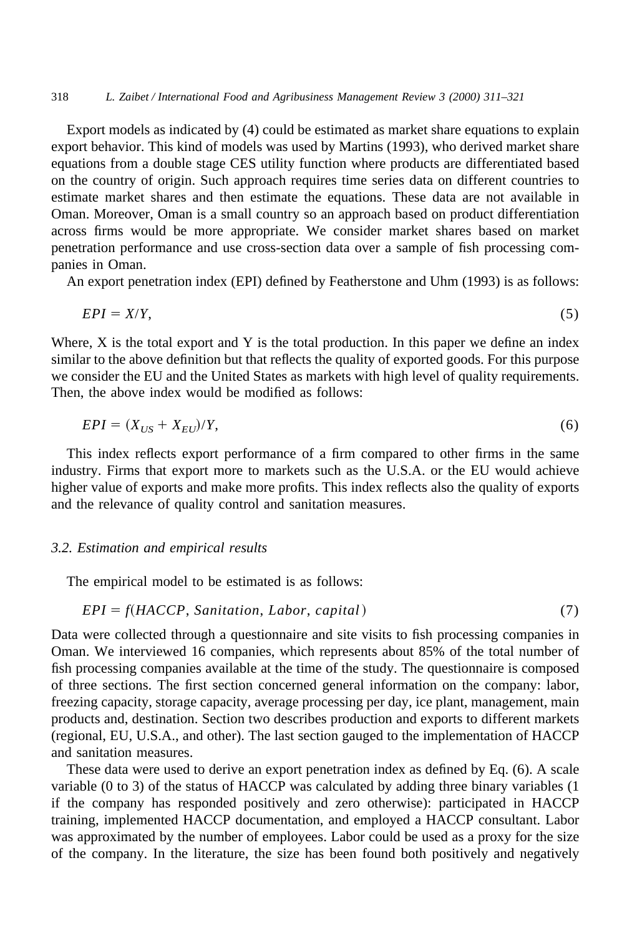Export models as indicated by (4) could be estimated as market share equations to explain export behavior. This kind of models was used by Martins (1993), who derived market share equations from a double stage CES utility function where products are differentiated based on the country of origin. Such approach requires time series data on different countries to estimate market shares and then estimate the equations. These data are not available in Oman. Moreover, Oman is a small country so an approach based on product differentiation across firms would be more appropriate. We consider market shares based on market penetration performance and use cross-section data over a sample of fish processing companies in Oman.

An export penetration index (EPI) defined by Featherstone and Uhm (1993) is as follows:

$$
EPI = X/Y, \tag{5}
$$

Where,  $X$  is the total export and  $Y$  is the total production. In this paper we define an index similar to the above definition but that reflects the quality of exported goods. For this purpose we consider the EU and the United States as markets with high level of quality requirements. Then, the above index would be modified as follows:

$$
EPI = (X_{US} + X_{EU})/Y,\tag{6}
$$

This index reflects export performance of a firm compared to other firms in the same industry. Firms that export more to markets such as the U.S.A. or the EU would achieve higher value of exports and make more profits. This index reflects also the quality of exports and the relevance of quality control and sanitation measures.

## *3.2. Estimation and empirical results*

The empirical model to be estimated is as follows:

$$
EPI = f(HACCP, Sanitation, Labor, capital)
$$
\n
$$
(7)
$$

Data were collected through a questionnaire and site visits to fish processing companies in Oman. We interviewed 16 companies, which represents about 85% of the total number of fish processing companies available at the time of the study. The questionnaire is composed of three sections. The first section concerned general information on the company: labor, freezing capacity, storage capacity, average processing per day, ice plant, management, main products and, destination. Section two describes production and exports to different markets (regional, EU, U.S.A., and other). The last section gauged to the implementation of HACCP and sanitation measures.

These data were used to derive an export penetration index as defined by Eq. (6). A scale variable (0 to 3) of the status of HACCP was calculated by adding three binary variables (1) if the company has responded positively and zero otherwise): participated in HACCP training, implemented HACCP documentation, and employed a HACCP consultant. Labor was approximated by the number of employees. Labor could be used as a proxy for the size of the company. In the literature, the size has been found both positively and negatively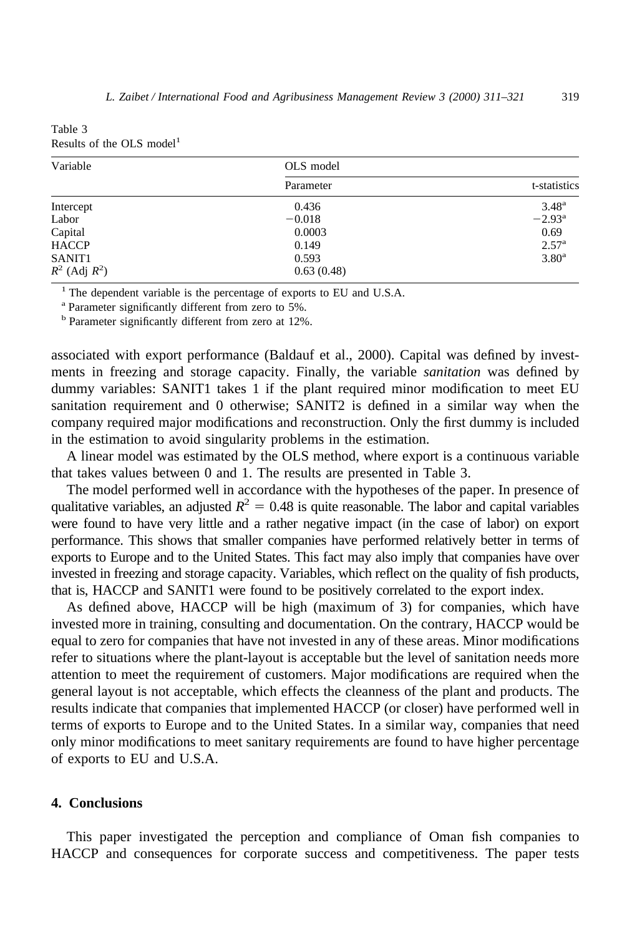| Table 3                               |  |  |
|---------------------------------------|--|--|
| Results of the OLS model <sup>1</sup> |  |  |

| Variable           | OLS model  |                   |
|--------------------|------------|-------------------|
|                    | Parameter  | t-statistics      |
| Intercept          | 0.436      | $3.48^{\rm a}$    |
| Labor              | $-0.018$   | $-2.93^{\rm a}$   |
| Capital            | 0.0003     | 0.69              |
| <b>HACCP</b>       | 0.149      | $2.57^{\rm a}$    |
| SANIT <sub>1</sub> | 0.593      | 3.80 <sup>a</sup> |
| $R^2$ (Adj $R^2$ ) | 0.63(0.48) |                   |

<sup>1</sup> The dependent variable is the percentage of exports to EU and U.S.A.

<sup>a</sup> Parameter significantly different from zero to 5%.<br><sup>b</sup> Parameter significantly different from zero at 12%.

associated with export performance (Baldauf et al., 2000). Capital was defined by investments in freezing and storage capacity. Finally, the variable *sanitation* was defined by dummy variables: SANIT1 takes 1 if the plant required minor modification to meet EU sanitation requirement and 0 otherwise; SANIT2 is defined in a similar way when the company required major modifications and reconstruction. Only the first dummy is included in the estimation to avoid singularity problems in the estimation.

A linear model was estimated by the OLS method, where export is a continuous variable that takes values between 0 and 1. The results are presented in Table 3.

The model performed well in accordance with the hypotheses of the paper. In presence of qualitative variables, an adjusted  $R^2 = 0.48$  is quite reasonable. The labor and capital variables were found to have very little and a rather negative impact (in the case of labor) on export performance. This shows that smaller companies have performed relatively better in terms of exports to Europe and to the United States. This fact may also imply that companies have over invested in freezing and storage capacity. Variables, which reflect on the quality of fish products, that is, HACCP and SANIT1 were found to be positively correlated to the export index.

As defined above, HACCP will be high (maximum of 3) for companies, which have invested more in training, consulting and documentation. On the contrary, HACCP would be equal to zero for companies that have not invested in any of these areas. Minor modifications refer to situations where the plant-layout is acceptable but the level of sanitation needs more attention to meet the requirement of customers. Major modifications are required when the general layout is not acceptable, which effects the cleanness of the plant and products. The results indicate that companies that implemented HACCP (or closer) have performed well in terms of exports to Europe and to the United States. In a similar way, companies that need only minor modifications to meet sanitary requirements are found to have higher percentage of exports to EU and U.S.A.

## **4. Conclusions**

This paper investigated the perception and compliance of Oman fish companies to HACCP and consequences for corporate success and competitiveness. The paper tests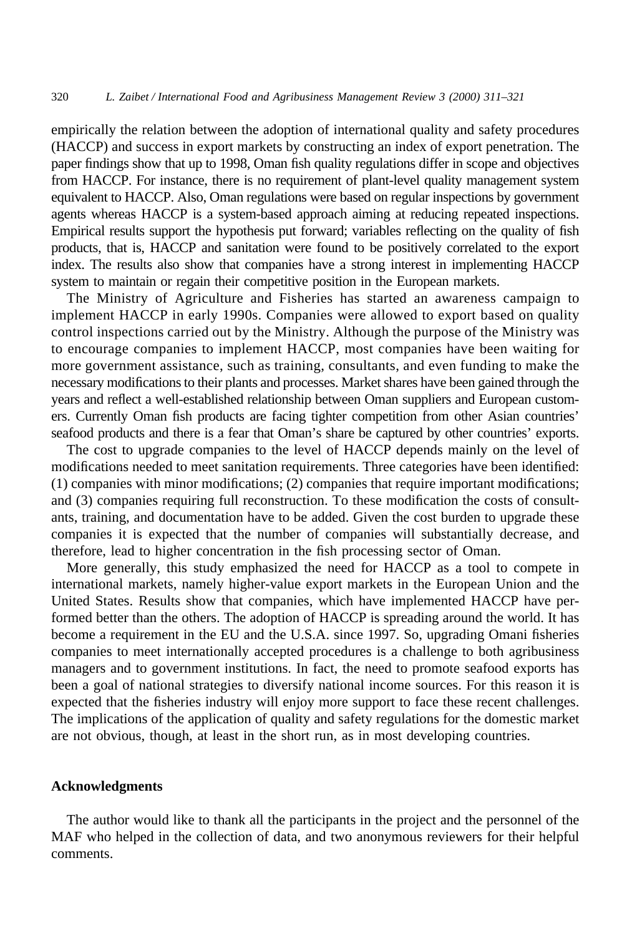empirically the relation between the adoption of international quality and safety procedures (HACCP) and success in export markets by constructing an index of export penetration. The paper findings show that up to 1998, Oman fish quality regulations differ in scope and objectives from HACCP. For instance, there is no requirement of plant-level quality management system equivalent to HACCP. Also, Oman regulations were based on regular inspections by government agents whereas HACCP is a system-based approach aiming at reducing repeated inspections. Empirical results support the hypothesis put forward; variables reflecting on the quality of fish products, that is, HACCP and sanitation were found to be positively correlated to the export index. The results also show that companies have a strong interest in implementing HACCP system to maintain or regain their competitive position in the European markets.

The Ministry of Agriculture and Fisheries has started an awareness campaign to implement HACCP in early 1990s. Companies were allowed to export based on quality control inspections carried out by the Ministry. Although the purpose of the Ministry was to encourage companies to implement HACCP, most companies have been waiting for more government assistance, such as training, consultants, and even funding to make the necessary modifications to their plants and processes. Market shares have been gained through the years and reflect a well-established relationship between Oman suppliers and European customers. Currently Oman fish products are facing tighter competition from other Asian countries' seafood products and there is a fear that Oman's share be captured by other countries' exports.

The cost to upgrade companies to the level of HACCP depends mainly on the level of modifications needed to meet sanitation requirements. Three categories have been identified: (1) companies with minor modifications; (2) companies that require important modifications; and (3) companies requiring full reconstruction. To these modification the costs of consultants, training, and documentation have to be added. Given the cost burden to upgrade these companies it is expected that the number of companies will substantially decrease, and therefore, lead to higher concentration in the fish processing sector of Oman.

More generally, this study emphasized the need for HACCP as a tool to compete in international markets, namely higher-value export markets in the European Union and the United States. Results show that companies, which have implemented HACCP have performed better than the others. The adoption of HACCP is spreading around the world. It has become a requirement in the EU and the U.S.A. since 1997. So, upgrading Omani fisheries companies to meet internationally accepted procedures is a challenge to both agribusiness managers and to government institutions. In fact, the need to promote seafood exports has been a goal of national strategies to diversify national income sources. For this reason it is expected that the fisheries industry will enjoy more support to face these recent challenges. The implications of the application of quality and safety regulations for the domestic market are not obvious, though, at least in the short run, as in most developing countries.

# **Acknowledgments**

The author would like to thank all the participants in the project and the personnel of the MAF who helped in the collection of data, and two anonymous reviewers for their helpful comments.